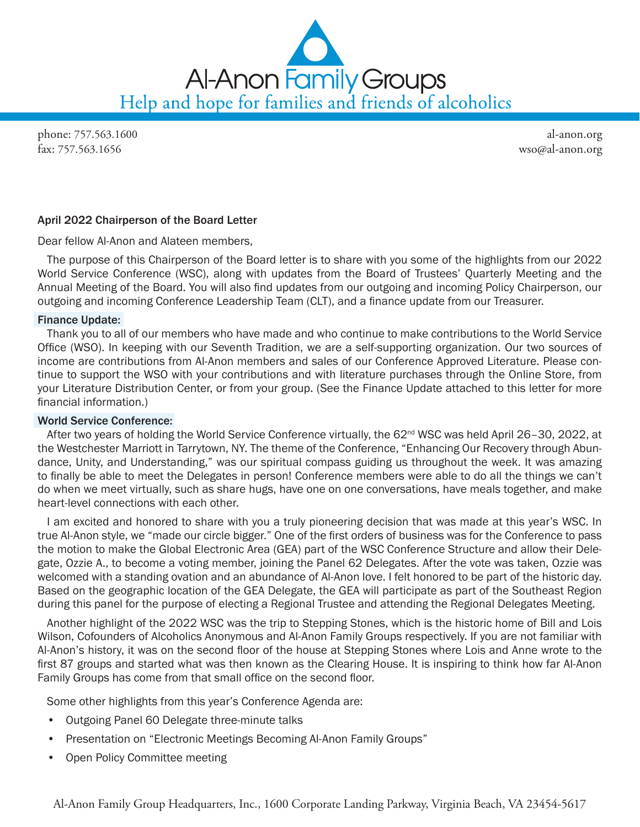

phone: 757.563.1600 fax: 757.563.1656

al-anon.org wso@al-anon.org

# April 2022 Chairperson of the Board Letter

Dear fellow Al‑Anon and Alateen members,

The purpose of this Chairperson of the Board letter is to share with you some of the highlights from our 2022 World Service Conference (WSC), along with updates from the Board of Trustees' Quarterly Meeting and the Annual Meeting of the Board. You will also find updates from our outgoing and incoming Policy Chairperson, our outgoing and incoming Conference Leadership Team (CLT), and a finance update from our Treasurer.

## Finance Update:

Thank you to all of our members who have made and who continue to make contributions to the World Service Office (WSO). In keeping with our Seventh Tradition, we are a self-supporting organization. Our two sources of income are contributions from Al-Anon members and sales of our Conference Approved Literature. Please continue to support the WSO with your contributions and with literature purchases through the Online Store, from your Literature Distribution Center, or from your group. (See the Finance Update attached to this letter for more financial information.)

# World Service Conference:

After two years of holding the World Service Conference virtually, the 62<sup>nd</sup> WSC was held April 26–30, 2022, at the Westchester Marriott in Tarrytown, NY. The theme of the Conference, "Enhancing Our Recovery through Abundance, Unity, and Understanding," was our spiritual compass guiding us throughout the week. It was amazing to finally be able to meet the Delegates in person! Conference members were able to do all the things we can't do when we meet virtually, such as share hugs, have one on one conversations, have meals together, and make heart-level connections with each other.

I am excited and honored to share with you a truly pioneering decision that was made at this year's WSC. In true Al‑Anon style, we "made our circle bigger." One of the first orders of business was for the Conference to pass the motion to make the Global Electronic Area (GEA) part of the WSC Conference Structure and allow their Delegate, Ozzie A., to become a voting member, joining the Panel 62 Delegates. After the vote was taken, Ozzie was welcomed with a standing ovation and an abundance of Al-Anon love. I felt honored to be part of the historic day. Based on the geographic location of the GEA Delegate, the GEA will participate as part of the Southeast Region during this panel for the purpose of electing a Regional Trustee and attending the Regional Delegates Meeting.

Another highlight of the 2022 WSC was the trip to Stepping Stones, which is the historic home of Bill and Lois Wilson, Cofounders of Alcoholics Anonymous and Al-Anon Family Groups respectively. If you are not familiar with Al‑Anon's history, it was on the second floor of the house at Stepping Stones where Lois and Anne wrote to the first 87 groups and started what was then known as the Clearing House. It is inspiring to think how far Al-Anon Family Groups has come from that small office on the second floor.

Some other highlights from this year's Conference Agenda are:

- Outgoing Panel 60 Delegate three-minute talks
- Presentation on "Electronic Meetings Becoming Al‑Anon Family Groups"
- Open Policy Committee meeting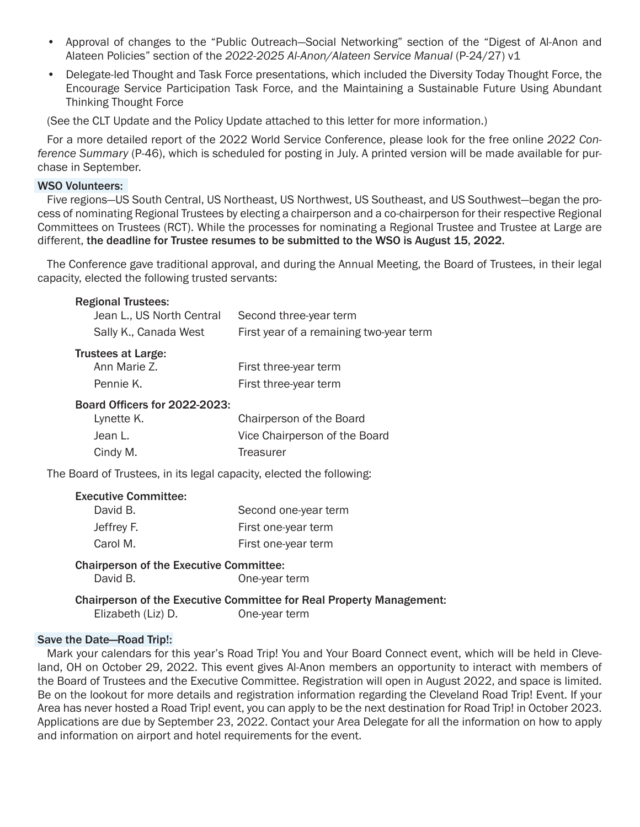- Approval of changes to the "Public Outreach—Social Networking" section of the "Digest of Al-Anon and Alateen Policies" section of the *2022-2025 Al-Anon/Alateen Service Manual* (P-24/27) v1
- Delegate-led Thought and Task Force presentations, which included the Diversity Today Thought Force, the Encourage Service Participation Task Force, and the Maintaining a Sustainable Future Using Abundant Thinking Thought Force

(See the CLT Update and the Policy Update attached to this letter for more information.)

For a more detailed report of the 2022 World Service Conference, please look for the free online *2022 Conference Summary* (P-46), which is scheduled for posting in July. A printed version will be made available for pur‑ chase in September.

## WSO Volunteers:

Five regions—US South Central, US Northeast, US Northwest, US Southeast, and US Southwest—began the pro‑ cess of nominating Regional Trustees by electing a chairperson and a co-chairperson for their respective Regional Committees on Trustees (RCT). While the processes for nominating a Regional Trustee and Trustee at Large are different, the deadline for Trustee resumes to be submitted to the WSO is August 15, 2022.

The Conference gave traditional approval, and during the Annual Meeting, the Board of Trustees, in their legal capacity, elected the following trusted servants:

# Regional Trustees:

| Jean L., US North Central | Second three-year term                  |
|---------------------------|-----------------------------------------|
| Sally K., Canada West     | First year of a remaining two-year term |

## Trustees at Large:

| Ann Marie Z. | First three-year term |
|--------------|-----------------------|
| Pennie K.    | First three-year term |

## Board Officers for 2022-2023:

| Lynette K. | Chairperson of the Board      |
|------------|-------------------------------|
| Jean L.    | Vice Chairperson of the Board |
| Cindy M.   | Treasurer                     |

The Board of Trustees, in its legal capacity, elected the following:

#### Executive Committee:

| David B.   | Second one-year term |
|------------|----------------------|
| Jeffrey F. | First one-year term  |
| Carol M.   | First one-year term  |

#### Chairperson of the Executive Committee: David B. Consumer Cone-year term

# Chairperson of the Executive Committee for Real Property Management:

Elizabeth (Liz) D. One-year term

# Save the Date—Road Trip!:

Mark your calendars for this year's Road Trip! You and Your Board Connect event, which will be held in Cleveland, OH on October 29, 2022. This event gives Al‑Anon members an opportunity to interact with members of the Board of Trustees and the Executive Committee. Registration will open in August 2022, and space is limited. Be on the lookout for more details and registration information regarding the Cleveland Road Trip! Event. If your Area has never hosted a Road Trip! event, you can apply to be the next destination for Road Trip! in October 2023. Applications are due by September 23, 2022. Contact your Area Delegate for all the information on how to apply and information on airport and hotel requirements for the event.